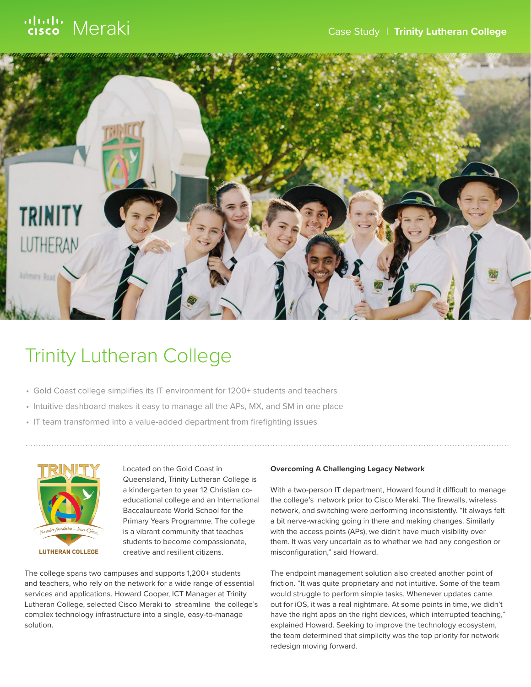

# Trinity Lutheran College

- Gold Coast college simplifies its IT environment for 1200+ students and teachers
- Intuitive dashboard makes it easy to manage all the APs, MX, and SM in one place
- IT team transformed into a value-added department from firefighting issues



Located on the Gold Coast in Queensland, Trinity Lutheran College is a kindergarten to year 12 Christian coeducational college and an International Baccalaureate World School for the Primary Years Programme. The college is a vibrant community that teaches students to become compassionate, creative and resilient citizens.

The college spans two campuses and supports 1,200+ students and teachers, who rely on the network for a wide range of essential services and applications. Howard Cooper, ICT Manager at Trinity Lutheran College, selected Cisco Meraki to streamline the college's complex technology infrastructure into a single, easy-to-manage solution.

### **Overcoming A Challenging Legacy Network**

With a two-person IT department, Howard found it difficult to manage the college's network prior to Cisco Meraki. The firewalls, wireless network, and switching were performing inconsistently. "It always felt a bit nerve-wracking going in there and making changes. Similarly with the access points (APs), we didn't have much visibility over them. It was very uncertain as to whether we had any congestion or misconfiguration," said Howard.

The endpoint management solution also created another point of friction. "It was quite proprietary and not intuitive. Some of the team would struggle to perform simple tasks. Whenever updates came out for iOS, it was a real nightmare. At some points in time, we didn't have the right apps on the right devices, which interrupted teaching," explained Howard. Seeking to improve the technology ecosystem, the team determined that simplicity was the top priority for network redesign moving forward.